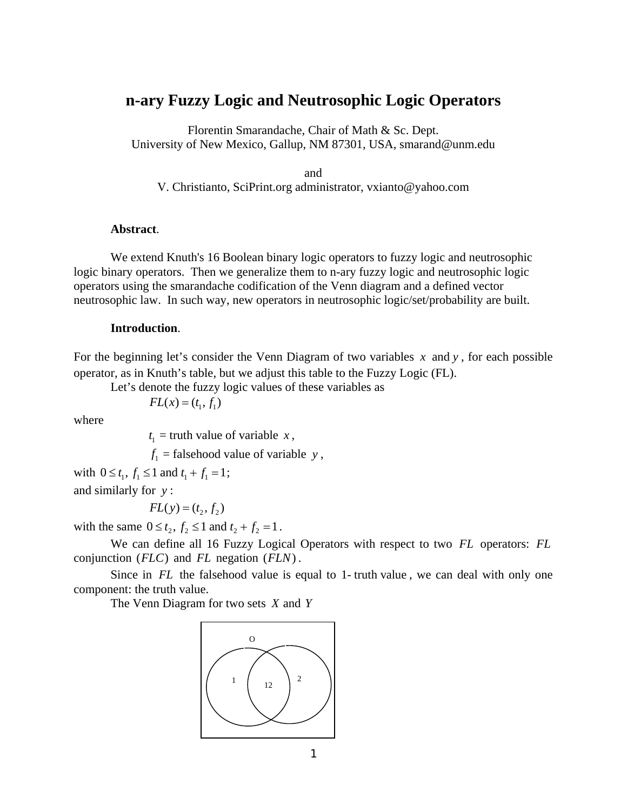# **n-ary Fuzzy Logic and Neutrosophic Logic Operators**

Florentin Smarandache, Chair of Math & Sc. Dept. University of New Mexico, Gallup, NM 87301, USA, smarand@unm.edu

and

V. Christianto, SciPrint.org administrator, vxianto@yahoo.com

#### **Abstract**.

We extend Knuth's 16 Boolean binary logic operators to fuzzy logic and neutrosophic logic binary operators. Then we generalize them to n-ary fuzzy logic and neutrosophic logic operators using the smarandache codification of the Venn diagram and a defined vector neutrosophic law. In such way, new operators in neutrosophic logic/set/probability are built.

## **Introduction**.

For the beginning let's consider the Venn Diagram of two variables *x* and *y* , for each possible operator, as in Knuth's table, but we adjust this table to the Fuzzy Logic (FL).

Let's denote the fuzzy logic values of these variables as

where

 $t_1$  $t_1$  = truth value of variable *x*,

 $f_1$  = falsehood value of variable *y*,

with  $0 \le t_1, f_1 \le 1$  and  $t_1 + f_1 = 1$ ; and similarly for *y* :

$$
FL(y) = (t_2, f_2)
$$

 $FL(x) = (t_1, f_1)$ 

with the same  $0 \le t_2, f_2 \le 1$  and  $t_2 + f_2 = 1$ .

 We can define all 16 Fuzzy Logical Operators with respect to two *FL* operators: *FL* conjunction  $(FLC)$  and  $FL$  negation  $(FLN)$ .

Since in *FL* the falsehood value is equal to 1- truth value, we can deal with only one component: the truth value.

The Venn Diagram for two sets *X* and *Y*

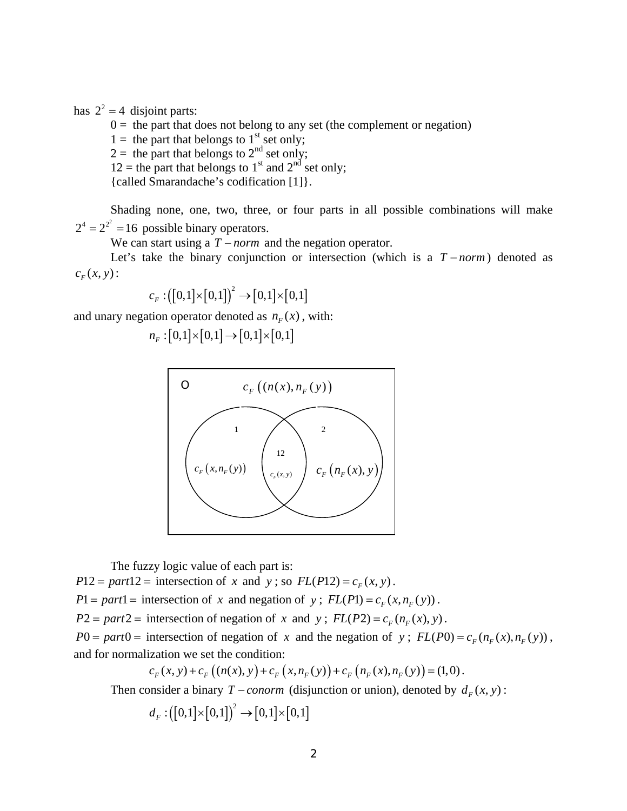has  $2^2 = 4$  disjoint parts:

 $0 =$  the part that does not belong to any set (the complement or negation)

 $1 =$  the part that belongs to  $1<sup>st</sup>$  set only;

 $2 =$  the part that belongs to  $2<sup>nd</sup>$  set only;

 $12$  = the part that belongs to 1<sup>st</sup> and 2<sup>nd</sup> set only;

{called Smarandache's codification [1]}.

Shading none, one, two, three, or four parts in all possible combinations will make  $2^4 = 2^{2^2} = 16$  possible binary operators.

We can start using a  $T$  – *norm* and the negation operator.

Let's take the binary conjunction or intersection (which is a  $T$  – *norm*) denoted as  $c_F(x, y)$ :

$$
c_F: \left([0,1]\times[0,1]\right)^2 \to [0,1]\times[0,1]
$$

and unary negation operator denoted as  $n_F(x)$ , with:

$$
n_F: [0,1] \times [0,1] \to [0,1] \times [0,1]
$$



The fuzzy logic value of each part is:

 $P12 = part12 =$  intersection of *x* and *y*; so  $FL(P12) = c<sub>F</sub>(x, y)$ .

 $P1 = part1 =$  intersection of *x* and negation of *y*;  $FL(P1) = c<sub>F</sub>(x, n<sub>F</sub>(y))$ .

 $P2 = part2 =$  intersection of negation of *x* and *y*;  $FL(P2) = c_F(n_F(x), y)$ .

 $P0 = part0 =$  intersection of negation of *x* and the negation of *y*;  $FL(P0) = c_F(n_F(x), n_F(y))$ , and for normalization we set the condition:

$$
c_F(x, y) + c_F((n(x), y) + c_F(x, n_F(y)) + c_F(n_F(x), n_F(y)) = (1, 0).
$$

Then consider a binary *T* – *conorm* (disjunction or union), denoted by  $d_F(x, y)$ :

$$
d_F: \big([0,1]\times[0,1]\big)^2\to[0,1]\times[0,1]
$$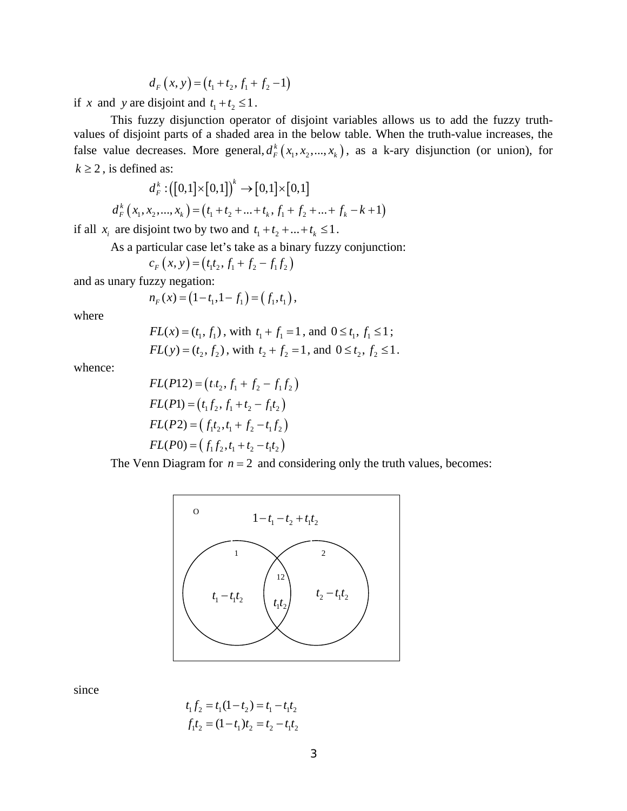$$
d_F(x, y) = (t_1 + t_2, f_1 + f_2 - 1)
$$

if *x* and *y* are disjoint and  $t_1 + t_2 \le 1$ .

 This fuzzy disjunction operator of disjoint variables allows us to add the fuzzy truthvalues of disjoint parts of a shaded area in the below table. When the truth-value increases, the false value decreases. More general,  $d_F^k(x_1, x_2, ..., x_k)$ , as a k-ary disjunction (or union), for  $k \geq 2$ , is defined as:

$$
d_F^k: \left([0,1] \times [0,1]\right)^k \to [0,1] \times [0,1]
$$

$$
d_F^k(x_1, x_2, ..., x_k) = (t_1 + t_2 + ... + t_k, f_1 + f_2 + ... + f_k - k + 1)
$$

if all  $x_i$  are disjoint two by two and  $t_1 + t_2 + ... + t_k \le 1$ .

As a particular case let's take as a binary fuzzy conjunction:

$$
c_F(x, y) = (t_1t_2, f_1 + f_2 - f_1f_2)
$$

and as unary fuzzy negation:

$$
n_F(x) = (1 - t_1, 1 - t_1) = (f_1, t_1),
$$

where

$$
FL(x) = (t_1, f_1)
$$
, with  $t_1 + f_1 = 1$ , and  $0 \le t_1, f_1 \le 1$ ;  
 $FL(y) = (t_2, f_2)$ , with  $t_2 + f_2 = 1$ , and  $0 \le t_2, f_2 \le 1$ .

whence:

$$
FL(P12) = (t \cdot t_2, f_1 + f_2 - f_1 f_2)
$$
  
\n
$$
FL(P1) = (t_1 f_2, f_1 + t_2 - f_1 t_2)
$$
  
\n
$$
FL(P2) = (f_1 t_2, t_1 + f_2 - t_1 f_2)
$$
  
\n
$$
FL(P0) = (f_1 f_2, t_1 + t_2 - t_1 t_2)
$$

The Venn Diagram for  $n = 2$  and considering only the truth values, becomes:



since

$$
t_1 f_2 = t_1 (1 - t_2) = t_1 - t_1 t_2
$$
  

$$
f_1 t_2 = (1 - t_1) t_2 = t_2 - t_1 t_2
$$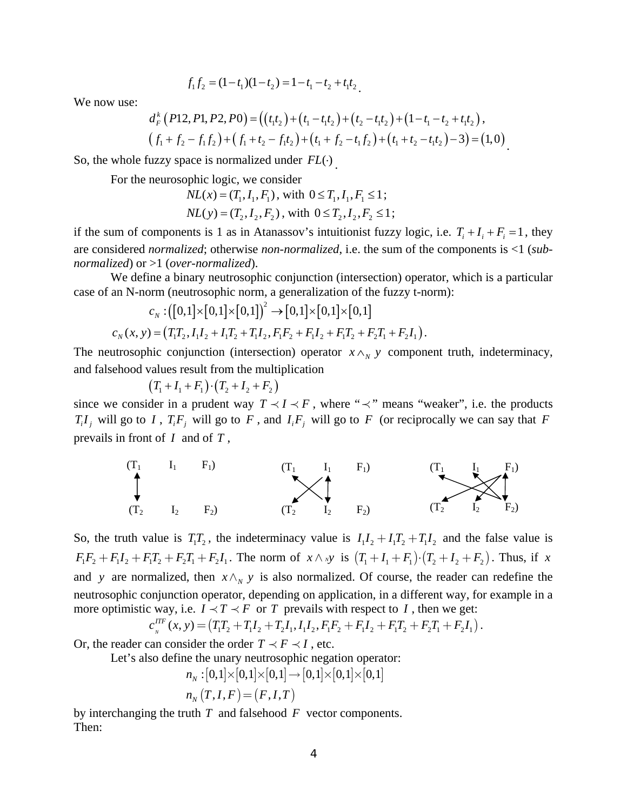$$
f_1 f_2 = (1 - t_1)(1 - t_2) = 1 - t_1 - t_2 + t_1 t_2.
$$

We now use:

$$
d_{F}^{k}(P12, P1, P2, P0) = ((t_{1}t_{2}) + (t_{1} - t_{1}t_{2}) + (t_{2} - t_{1}t_{2}) + (1 - t_{1} - t_{2} + t_{1}t_{2})),
$$
  

$$
(f_{1} + f_{2} - f_{1}f_{2}) + (f_{1} + t_{2} - f_{1}t_{2}) + (t_{1} + f_{2} - t_{1}f_{2}) + (t_{1} + t_{2} - t_{1}t_{2}) - 3) = (1, 0).
$$

So, the whole fuzzy space is normalized under *FL*( $\cdot$ )

For the neurosophic logic, we consider

$$
NL(x) = (T_1, I_1, F_1), \text{ with } 0 \le T_1, I_1, F_1 \le 1;
$$
  

$$
NL(y) = (T_2, I_2, F_2), \text{ with } 0 \le T_2, I_2, F_2 \le 1;
$$

if the sum of components is 1 as in Atanassov's intuitionist fuzzy logic, i.e.  $T_i + I_i + F_i = 1$ , they are considered *normalized*; otherwise *non-normalized*, i.e. the sum of the components is <1 (*subnormalized*) or >1 (*over-normalized*).

We define a binary neutrosophic conjunction (intersection) operator, which is a particular case of an N-norm (neutrosophic norm, a generalization of the fuzzy t-norm):

$$
c_N: ([0,1] \times [0,1] \times [0,1])^2 \to [0,1] \times [0,1] \times [0,1]
$$
  

$$
c_N(x, y) = (T_1T_2, I_1I_2 + I_1T_2 + T_1I_2, F_1F_2 + F_1I_2 + F_1T_2 + F_2T_1 + F_2I_1).
$$

The neutrosophic conjunction (intersection) operator  $x \wedge_N y$  component truth, indeterminacy, and falsehood values result from the multiplication

$$
(T_1 + I_1 + F_1) \cdot (T_2 + I_2 + F_2)
$$

since we consider in a prudent way  $T \prec I \prec F$ , where " $\prec$ " means "weaker", i.e. the products  $T_i I_j$  will go to *I*,  $T_i F_j$  will go to *F*, and  $I_i F_j$  will go to *F* (or reciprocally we can say that *F* prevails in front of *I* and of *T* ,



So, the truth value is  $T_1T_2$ , the indeterminacy value is  $I_1I_2 + I_1T_2 + I_1I_2$  and the false value is  $F_1 F_2 + F_1 I_2 + F_1 T_2 + F_2 T_1 + F_2 I_1$ . The norm of  $x \wedge xy$  is  $(T_1 + I_1 + F_1) \cdot (T_2 + I_2 + F_2)$ . Thus, if *x* and *y* are normalized, then  $x \wedge_{N} y$  is also normalized. Of course, the reader can redefine the neutrosophic conjunction operator, depending on application, in a different way, for example in a more optimistic way, i.e.  $I \prec T \prec F$  or *T* prevails with respect to *I*, then we get:

$$
c_{N}^{ITF}(x, y) = (T_1T_2 + T_1I_2 + T_2I_1, I_1I_2, F_1F_2 + F_1I_2 + F_1T_2 + F_2T_1 + F_2I_1).
$$

Or, the reader can consider the order  $T \prec F \prec I$ , etc.

Let's also define the unary neutrosophic negation operator:

$$
\begin{aligned} n_{_N}:[0,1]\times[0,1]\times[0,1] &\to [0,1]\times[0,1]\times[0,1] \\ n_{_N}\left(T,I,F\right) & = (F,I,T) \end{aligned}
$$

by interchanging the truth *T* and falsehood *F* vector components. Then: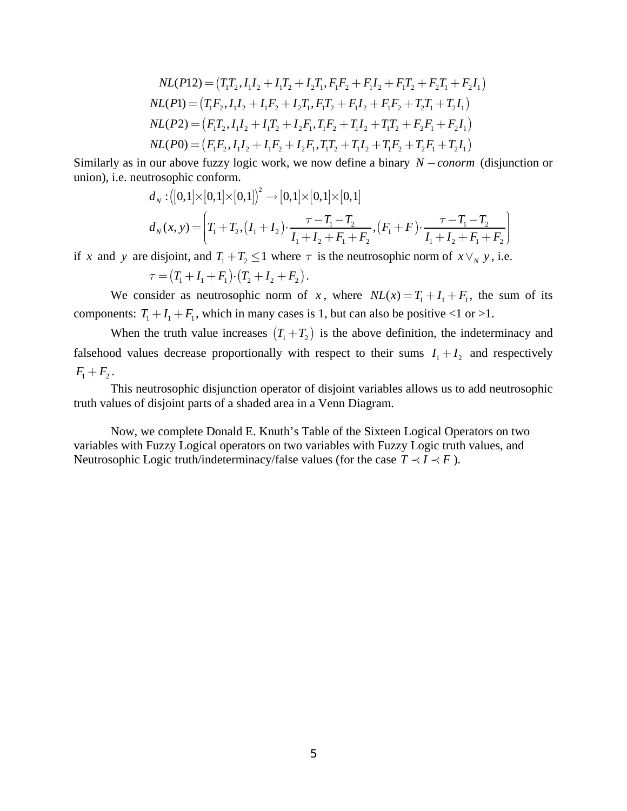$$
NL(P12) = (T_1T_2, I_1I_2 + I_1T_2 + I_2T_1, F_1F_2 + F_1I_2 + F_1T_2 + F_2T_1 + F_2I_1)
$$
  
\n
$$
NL(P1) = (T_1F_2, I_1I_2 + I_1F_2 + I_2T_1, F_1T_2 + F_1I_2 + F_1F_2 + T_2T_1 + T_2I_1)
$$
  
\n
$$
NL(P2) = (F_1T_2, I_1I_2 + I_1T_2 + I_2F_1, T_1F_2 + T_1I_2 + T_1T_2 + F_2F_1 + F_2I_1)
$$
  
\n
$$
NL(P0) = (F_1F_2, I_1I_2 + I_1F_2 + I_2F_1, T_1T_2 + T_1I_2 + T_1F_2 + T_2F_1 + T_2I_1)
$$

Similarly as in our above fuzzy logic work, we now define a binary *N* − *conorm* (disjunction or union), i.e. neutrosophic conform.

$$
d_N: \left([0,1] \times [0,1] \times [0,1]\right)^2 \to [0,1] \times [0,1] \times [0,1]
$$
  

$$
d_N(x,y) = \left(T_1 + T_2, (I_1 + I_2) \cdot \frac{\tau - T_1 - T_2}{I_1 + I_2 + F_1 + F_2}, (F_1 + F) \cdot \frac{\tau - T_1 - T_2}{I_1 + I_2 + F_1 + F_2}\right)
$$

if *x* and *y* are disjoint, and  $T_1 + T_2 \le 1$  where  $\tau$  is the neutrosophic norm of  $x \vee_y y$ , i.e.

 $\tau = (T_1 + I_1 + F_1) \cdot (T_2 + I_2 + F_2).$ 

We consider as neutrosophic norm of *x*, where  $NL(x) = T_1 + I_1 + F_1$ , the sum of its components:  $T_1 + I_1 + F_1$ , which in many cases is 1, but can also be positive <1 or >1.

When the truth value increases  $(T_1 + T_2)$  is the above definition, the indeterminacy and falsehood values decrease proportionally with respect to their sums  $I_1 + I_2$  and respectively  $F_1 + F_2$ .

 This neutrosophic disjunction operator of disjoint variables allows us to add neutrosophic truth values of disjoint parts of a shaded area in a Venn Diagram.

Now, we complete Donald E. Knuth's Table of the Sixteen Logical Operators on two variables with Fuzzy Logical operators on two variables with Fuzzy Logic truth values, and Neutrosophic Logic truth/indeterminacy/false values (for the case  $T \prec I \prec F$ ).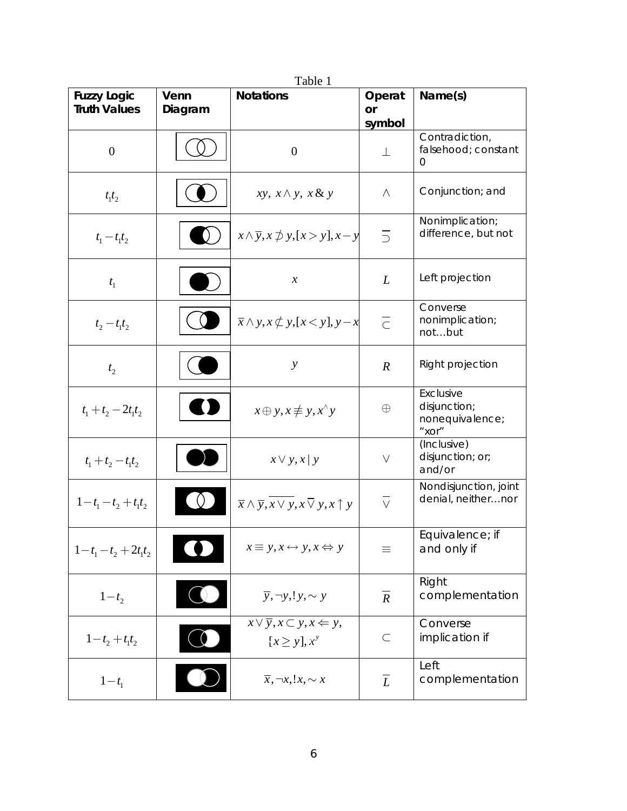| <b>Fuzzy Logic</b>    | Venn    | Table 1<br><b>Notations</b>                                                     | Operat               | Name(s)                                               |
|-----------------------|---------|---------------------------------------------------------------------------------|----------------------|-------------------------------------------------------|
| <b>Truth Values</b>   | Diagram |                                                                                 | <b>or</b>            |                                                       |
|                       |         |                                                                                 | symbol               | Contradiction,                                        |
| $\mathbf{0}$          |         | $\boldsymbol{0}$                                                                | $\perp$              | falsehood; constant<br>0                              |
| $t_1t_2$              |         | $xy, x \wedge y, x \& y$                                                        | $\wedge$             | Conjunction; and                                      |
| $t_1 - t_1 t_2$       |         | $x \wedge \overline{y}, x \not\supset y, [x > y], x - y$                        | $\overline{\supset}$ | Nonimplication;<br>difference, but not                |
| $t_{1}$               |         | $\chi$                                                                          | L                    | Left projection                                       |
| $t_2 - t_1 t_2$       |         | $\overline{x} \wedge y, x \not\subset y, [x < y], y - x$                        | $\overline{\subset}$ | Converse<br>nonimplication;<br>notbut                 |
| t <sub>2</sub>        |         | $\mathcal{Y}$                                                                   | $\boldsymbol{R}$     | Right projection                                      |
| $t_1 + t_2 - 2t_1t_2$ |         | $x \oplus y, x \not\equiv y, x^{\wedge} y$                                      | $\oplus$             | Exclusive<br>disjunction;<br>nonequivalence;<br>"XOT" |
| $t_1 + t_2 - t_1 t_2$ |         | $x \vee y, x \vee y$                                                            | $\vee$               | (Inclusive)<br>disjunction; or;<br>and/or             |
| $1-t_1-t_2+t_1t_2$    |         | $\overline{x} \wedge \overline{y}, \overline{x \vee y}, x \vee y, x \uparrow y$ | $\overline{\vee}$    | Nondisjunction, joint<br>denial, neithernor           |
| $1-t_1-t_2+2t_1t_2$   |         | $x \equiv y, x \leftrightarrow y, x \Leftrightarrow y$                          | $\equiv$             | Equivalence; if<br>and only if                        |
| $1-t_2$               |         | $\overline{y}$ , $\neg y$ , $y$ , $\sim$ $y$                                    | $\overline{R}$       | Right<br>complementation                              |
| $1-t_2+t_1t_2$        |         | $x \vee \overline{y}, x \subset y, x \Leftarrow y,$<br>$[x \geq y], x^y$        | $\subset$            | Converse<br>implication if                            |
| $1-t_1$               |         | $\overline{x}, \neg x, !x, \sim x$                                              | $\overline{L}$       | Left<br>complementation                               |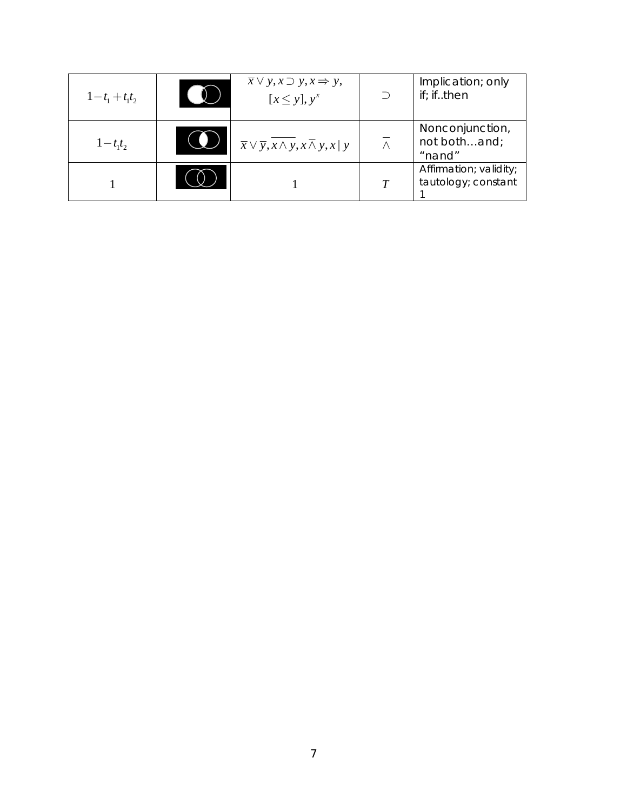| $1-t_1+t_1t_2$ | $\overline{x} \vee y, x \supset y, x \Rightarrow y,$<br>$[x \leq y], y^x$     | Implication; only<br>if; ifthen               |
|----------------|-------------------------------------------------------------------------------|-----------------------------------------------|
| $1-t_1t_2$     | $\overline{x} \vee \overline{y}, \overline{x \wedge y}, x \wedge y, x \mid y$ | Nonconjunction,<br>not bothand;<br>"nand"     |
|                |                                                                               | Affirmation; validity;<br>tautology; constant |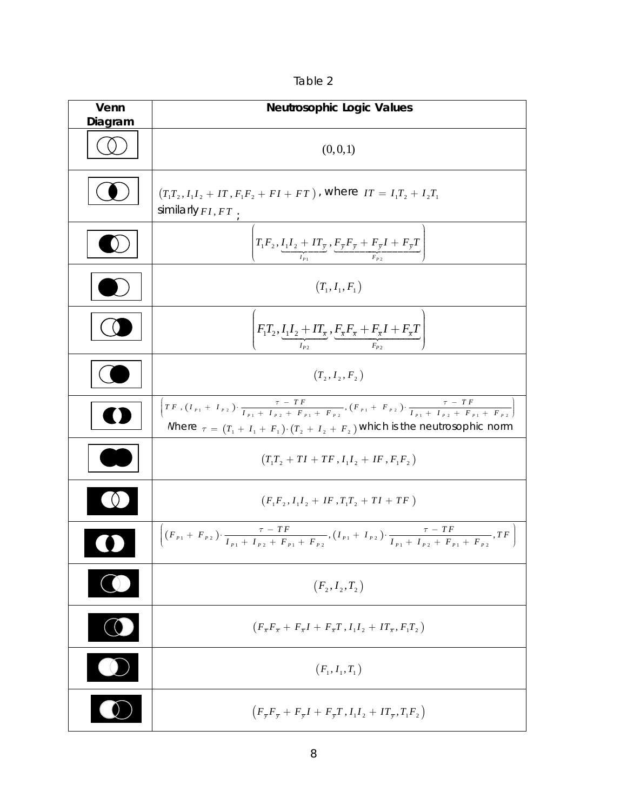| able |  |  |
|------|--|--|
|      |  |  |

| Venn<br>Diagram   | <b>Neutrosophic Logic Values</b>                                                                                                                                                                                                                                           |  |  |
|-------------------|----------------------------------------------------------------------------------------------------------------------------------------------------------------------------------------------------------------------------------------------------------------------------|--|--|
|                   | (0,0,1)                                                                                                                                                                                                                                                                    |  |  |
|                   | $(T_1T_2, I_1I_2 + IT, F_1F_2 + FI + FT)$ , where $IT = I_1T_2 + I_2T_1$<br>similarly $FI, FT$                                                                                                                                                                             |  |  |
|                   | $\left( \frac{T_1 F_2, I_1 I_2 + I T_{\overline{y}}}{I_{p_1}}, \frac{F_{\overline{y}} F_{\overline{y}} + F_{\overline{y}} I + F_{\overline{y}} I}{F_{p_2}} \right)$                                                                                                        |  |  |
|                   | $(T_1, I_1, F_1)$                                                                                                                                                                                                                                                          |  |  |
|                   | $\left(F_1T_2,\underbrace{I_1I_2+IT_{\overline{x}}}_{I_{p_2}},\underbrace{F_{\overline{x}}F_{\overline{x}}+F_{\overline{x}}I+F_{\overline{x}}T}_{F_{p_2}}\right)$                                                                                                          |  |  |
|                   | $(T_2, I_2, F_2)$                                                                                                                                                                                                                                                          |  |  |
|                   | $T F$ , $(I_{p_1} + I_{p_2})$ , $\frac{\tau - T F}{I_{p_1} + I_{p_2} + F_{p_1} + F_{p_2}}$ , $(F_{p_1} + F_{p_2})$ , $\frac{\tau - T F}{I_{p_1} + I_{p_2} + F_{p_1} + F_{p_2}}$<br>Where $\tau = (T_1 + I_1 + F_1) \cdot (T_2 + I_2 + F_2)$ which is the neutrosophic norm |  |  |
|                   | $(T_1T_2 + TI + TF, I_1I_2 + IF, F_1F_2)$                                                                                                                                                                                                                                  |  |  |
|                   | $(F_1F_2, I_1I_2 + IF_1T_1T_2 + TI + TF)$                                                                                                                                                                                                                                  |  |  |
|                   | $\left[ (F_{p_1} + F_{p_2}) \cdot \frac{\tau - TF}{I_{p_1} + I_{p_2} + F_{p_1} + F_{p_2}} , (I_{p_1} + I_{p_2}) \cdot \frac{\tau - TF}{I_{p_1} + I_{p_2} + F_{p_1} + F_{p_2}} , TF \right]$                                                                                |  |  |
|                   | $(F_2, I_2, T_2)$                                                                                                                                                                                                                                                          |  |  |
| $\bigcirc$        | $(F_{\overline{x}}F_{\overline{x}} + F_{\overline{x}}I + F_{\overline{x}}T, I_1I_2 + IT_{\overline{x}}, F_1T_2)$                                                                                                                                                           |  |  |
| $\mathbf{\Omega}$ | $(F_1, I_1, T_1)$                                                                                                                                                                                                                                                          |  |  |
|                   | $(F_{\overline{y}}F_{\overline{y}}+F_{\overline{y}}I+F_{\overline{y}}T,I_1I_2+IT_{\overline{y}},T_1F_2)$                                                                                                                                                                   |  |  |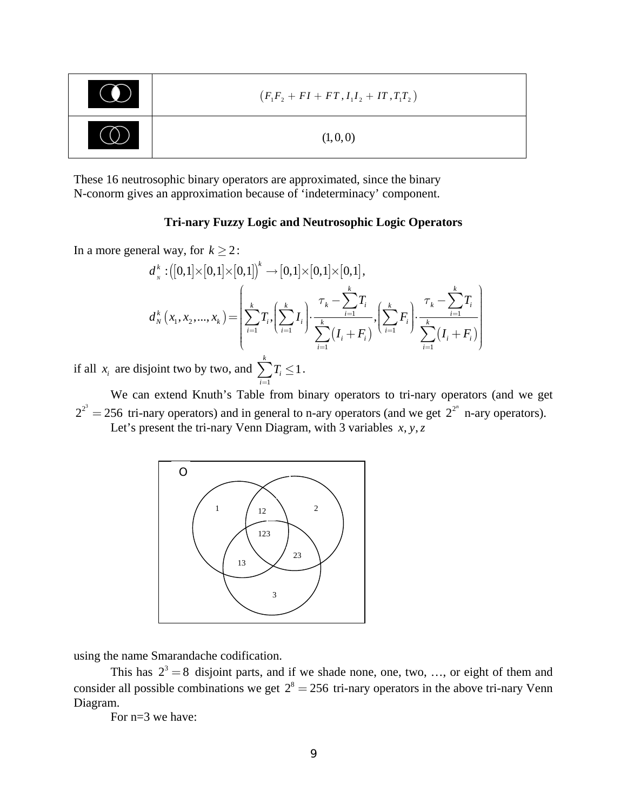| TO N | $(F_1F_2 + FI + FT, I_1I_2 + IT, T_1T_2)$ |
|------|-------------------------------------------|
|      | (1,0,0)                                   |

These 16 neutrosophic binary operators are approximated, since the binary N-conorm gives an approximation because of 'indeterminacy' component.

# **Tri-nary Fuzzy Logic and Neutrosophic Logic Operators**

In a more general way, for  $k \ge 2$ :

$$
d_{_{N}}^{k}:[[0,1]\times[0,1]\times[0,1])^{k}\to[0,1]\times[0,1]\times[0,1],\\ d_{_{N}}^{k}\left(x_{_{1}},x_{_{2}},...,x_{_{k}}\right)=\left[\sum_{i=1}^{k}T_{i},\left(\sum_{i=1}^{k}I_{i}\right)\cdot\frac{\tau_{_{k}}-\sum_{i=1}^{k}T_{i}}{\sum_{i=1}^{k}\left(I_{i}+F_{i}\right)},\left(\sum_{i=1}^{k}F_{i}\right)\cdot\frac{\tau_{_{k}}-\sum_{i=1}^{k}T_{i}}{\sum_{i=1}^{k}\left(I_{i}+F_{i}\right)}\right]
$$

if all  $x_i$  are disjoint two by two, and 1 1 *i i T*  $\sum_{i=1} T_i \leq 1$ .

We can extend Knuth's Table from binary operators to tri-nary operators (and we get  $2^{2^3} = 256$  tri-nary operators) and in general to n-ary operators (and we get  $2^{2^n}$  n-ary operators). Let's present the tri-nary Venn Diagram, with 3 variables  $x, y, z$ 



using the name Smarandache codification.

This has  $2^3 = 8$  disjoint parts, and if we shade none, one, two, ..., or eight of them and consider all possible combinations we get  $2^8 = 256$  tri-nary operators in the above tri-nary Venn Diagram.

For n=3 we have: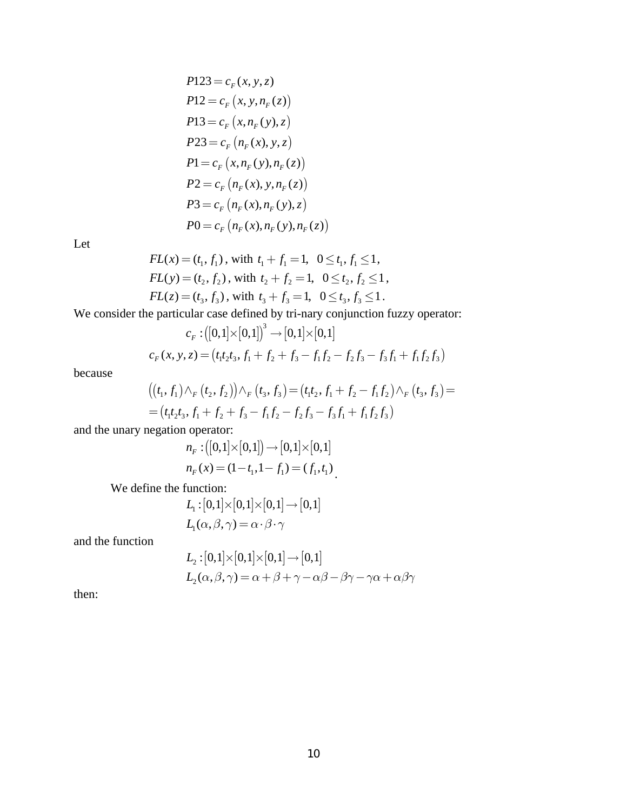$$
P123 = c_F(x, y, z)
$$
  
\n
$$
P12 = c_F(x, y, n_F(z))
$$
  
\n
$$
P13 = c_F(x, n_F(y), z)
$$
  
\n
$$
P23 = c_F(n_F(x), y, z)
$$
  
\n
$$
P1 = c_F(x, n_F(y), n_F(z))
$$
  
\n
$$
P2 = c_F(n_F(x), y, n_F(z))
$$
  
\n
$$
P3 = c_F(n_F(x), n_F(y), z)
$$
  
\n
$$
P0 = c_F(n_F(x), n_F(y), n_F(z))
$$

Let

$$
FL(x) = (t_1, f_1), \text{ with } t_1 + f_1 = 1, \ \ 0 \le t_1, f_1 \le 1,
$$
\n
$$
FL(y) = (t_2, f_2), \text{ with } t_2 + f_2 = 1, \ \ 0 \le t_2, f_2 \le 1,
$$
\n
$$
FL(z) = (t_3, f_3), \text{ with } t_3 + f_3 = 1, \ \ 0 \le t_3, f_3 \le 1.
$$

We consider the particular case defined by tri-nary conjunction fuzzy operator:

$$
c_F: ([0,1] \times [0,1])^3 \to [0,1] \times [0,1]
$$
  

$$
c_F(x, y, z) = (t_1 t_2 t_3, f_1 + f_2 + f_3 - f_1 f_2 - f_2 f_3 - f_3 f_1 + f_1 f_2 f_3)
$$

because

$$
((t_1, f_1) \wedge_F (t_2, f_2)) \wedge_F (t_3, f_3) = (t_1t_2, f_1 + f_2 - f_1f_2) \wedge_F (t_3, f_3) =
$$
  
=  $(t_1t_2t_3, f_1 + f_2 + f_3 - f_1f_2 - f_2f_3 - f_3f_1 + f_1f_2f_3)$ 

and the unary negation operator:

$$
n_F: ([0,1] \times [0,1]) \to [0,1] \times [0,1]
$$
  

$$
n_F(x) = (1-t_1, 1-t_1) = (f_1, t_1)
$$

We define the function:

$$
\begin{aligned} L_\text{i}: [0,1] \small{\times} [0,1] \small{\times} [0,1] \small{\rightarrow} [0,1] \\ L_\text{i}(\alpha,\beta,\gamma) = \alpha \! \cdot \! \beta \! \cdot \! \gamma \end{aligned}
$$

and the function

$$
L_2: [0,1] \times [0,1] \times [0,1] \to [0,1]
$$
  

$$
L_2(\alpha, \beta, \gamma) = \alpha + \beta + \gamma - \alpha\beta - \beta\gamma - \gamma\alpha + \alpha\beta\gamma
$$

then: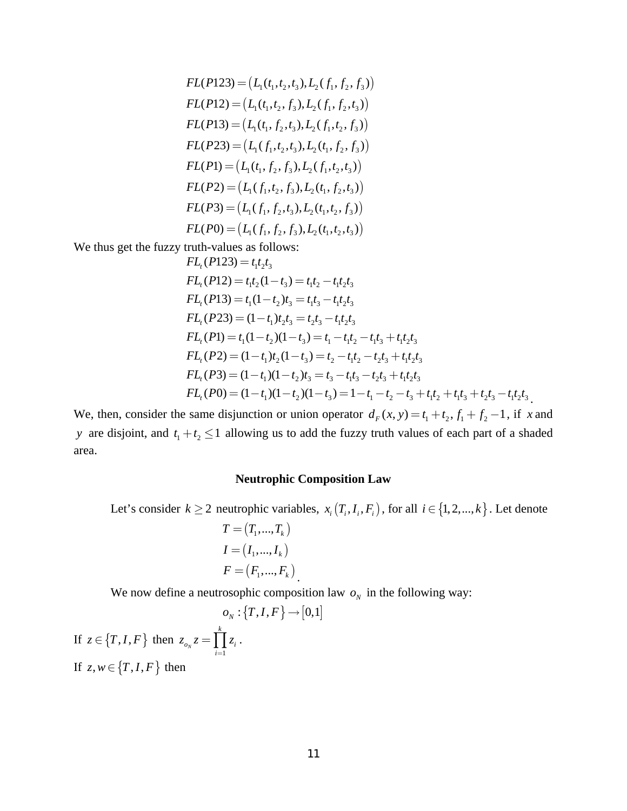$$
FL(P123) = (L_1(t_1, t_2, t_3), L_2(f_1, f_2, f_3))
$$
  
\n
$$
FL(P12) = (L_1(t_1, t_2, f_3), L_2(f_1, f_2, t_3))
$$
  
\n
$$
FL(P13) = (L_1(t_1, f_2, t_3), L_2(f_1, t_2, f_3))
$$
  
\n
$$
FL(P23) = (L_1(f_1, t_2, t_3), L_2(t_1, f_2, f_3))
$$
  
\n
$$
FL(P1) = (L_1(t_1, f_2, f_3), L_2(f_1, t_2, t_3))
$$
  
\n
$$
FL(P2) = (L_1(f_1, t_2, f_3), L_2(t_1, f_2, t_3))
$$
  
\n
$$
FL(P3) = (L_1(f_1, f_2, t_3), L_2(t_1, t_2, f_3))
$$
  
\n
$$
FL(P0) = (L_1(f_1, f_2, f_3), L_2(t_1, t_2, t_3))
$$

We thus get the fuzzy truth-values as follows:

$$
FL_{t}(P123) = t_{1}t_{2}t_{3}
$$
  
\n
$$
FL_{t}(P12) = t_{1}t_{2}(1-t_{3}) = t_{1}t_{2} - t_{1}t_{2}t_{3}
$$
  
\n
$$
FL_{t}(P13) = t_{1}(1-t_{2})t_{3} = t_{1}t_{3} - t_{1}t_{2}t_{3}
$$
  
\n
$$
FL_{t}(P23) = (1-t_{1})t_{2}t_{3} = t_{2}t_{3} - t_{1}t_{2}t_{3}
$$
  
\n
$$
FL_{t}(P1) = t_{1}(1-t_{2})(1-t_{3}) = t_{1} - t_{1}t_{2} - t_{1}t_{3} + t_{1}t_{2}t_{3}
$$
  
\n
$$
FL_{t}(P2) = (1-t_{1})t_{2}(1-t_{3}) = t_{2} - t_{1}t_{2} - t_{2}t_{3} + t_{1}t_{2}t_{3}
$$
  
\n
$$
FL_{t}(P3) = (1-t_{1})(1-t_{2})t_{3} = t_{3} - t_{1}t_{3} - t_{2}t_{3} + t_{1}t_{2}t_{3}
$$
  
\n
$$
FL_{t}(P0) = (1-t_{1})(1-t_{2})(1-t_{3}) = 1-t_{1} - t_{2} - t_{3} + t_{1}t_{2} + t_{1}t_{3} + t_{2}t_{3} - t_{1}t_{2}t_{3}
$$

We, then, consider the same disjunction or union operator  $d_F(x, y) = t_1 + t_2$ ,  $f_1 + f_2 - 1$ , if *x* and *y* are disjoint, and  $t_1 + t_2 \leq 1$  allowing us to add the fuzzy truth values of each part of a shaded area.

## **Neutrophic Composition Law**

Let's consider  $k \ge 2$  neutrophic variables,  $x_i(T_i, I_i, F_i)$ , for all  $i \in \{1, 2, ..., k\}$ . Let denote  $T = (T_1, ..., T_k)$ 

$$
I = (I_1, \dots, I_k)
$$
  

$$
F = (F_1, \dots, F_k)
$$

We now define a neutrosophic composition law  $o<sub>N</sub>$  in the following way:

$$
o_N : \{T, I, F\} \to [0, 1]
$$
  
If  $z \in \{T, I, F\}$  then  $z_{o_N} z = \prod_{i=1}^k z_i$ .  
If  $z, w \in \{T, I, F\}$  then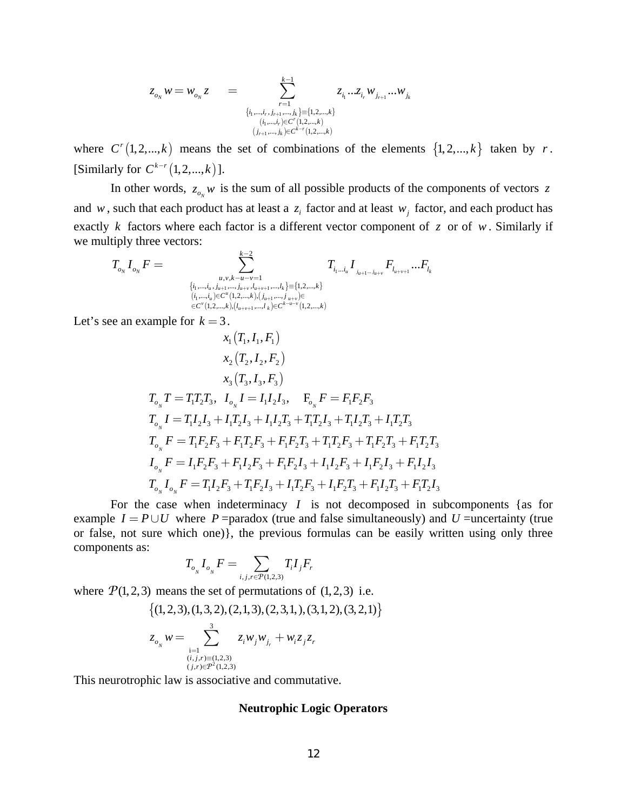$$
\begin{array}{lcl} z_{o_{N}} \,w=w_{o_{N}} z & = & \displaystyle \sum_{\stackrel{r=1}{\{i_1,\dots,i_r,j_{r+1},\dots,j_k\} \equiv \{1,2,\dots,k\}}}^{\textstyle k-1} z_{i_1}...z_{i_r}w_{j_{r+1}}...w_{j_k}} \\ & & (i_1,\dots,i_r) \in C^r(1,2,\dots,k) \\ & & (j_{r+1},\dots,j_k) \in C^{k-r}(1,2,\dots,k)} \end{array}
$$

where  $C^{r}(1,2,...,k)$  means the set of combinations of the elements  $\{1,2,...,k\}$  taken by *r*. [Similarly for  $C^{k-r}(1,2,...,k)$ ].

In other words,  $z_{o_N}$  *w* is the sum of all possible products of the components of vectors *z* and *w*, such that each product has at least a  $z_i$  factor and at least  $w_i$  factor, and each product has exactly *k* factors where each factor is a different vector component of *z* or of *w* . Similarly if we multiply three vectors:

$$
T_{o_N} I_{o_N} F = \sum_{\substack{u,v,k-u-v=1 \ (i_1,\ldots,i_u,j_{u+1},\ldots,j_{u+v},l_{u+v+1},\ldots,l_k \,] \equiv \{1,2,\ldots,k\} \ (i_1,\ldots,i_u) \in C^u(1,2,\ldots,k), (j_{u+1},\ldots,j_{u+v}) \in \\ \in C^v(1,2,\ldots,k), (l_{u+v+1},\ldots,l_k) \in C^{k-u-v}(1,2,\ldots,k)}} T_{i_1\ldots i_u} I_{j_{u+1}\ldots j_{u+v}} F_{l_{u+v+1}} \ldots F_{l_k}
$$

Let's see an example for  $k = 3$ .

$$
x_1 (T_1, I_1, F_1)
$$
  
\n
$$
x_2 (T_2, I_2, F_2)
$$
  
\n
$$
x_3 (T_3, I_3, F_3)
$$
  
\n
$$
T_{o_N} T = T_1 T_2 T_3, I_{o_N} I = I_1 I_2 I_3, F_{o_N} F = F_1 F_2 F_3
$$
  
\n
$$
T_{o_N} I = T_1 I_2 I_3 + I_1 T_2 I_3 + I_1 I_2 T_3 + T_1 T_2 I_3 + T_1 I_2 T_3 + I_1 T_2 T_3
$$
  
\n
$$
T_{o_N} F = T_1 F_2 F_3 + F_1 T_2 F_3 + F_1 F_2 T_3 + T_1 T_2 F_3 + T_1 F_2 T_3 + F_1 T_2 T_3
$$
  
\n
$$
I_{o_N} F = I_1 F_2 F_3 + F_1 I_2 F_3 + F_1 F_2 I_3 + I_1 I_2 F_3 + I_1 F_2 I_3 + F_1 I_2 I_3
$$
  
\n
$$
T_{o_N} I_{o_N} F = T_1 I_2 F_3 + T_1 F_2 I_3 + I_1 T_2 F_3 + I_1 F_2 T_3 + F_1 I_2 T_3 + F_1 T_2 I_3
$$

 For the case when indeterminacy *I* is not decomposed in subcomponents {as for example  $I = P \cup U$  where P =paradox (true and false simultaneously) and U =uncertainty (true or false, not sure which one)}, the previous formulas can be easily written using only three components as:

$$
T_{o_{N}}I_{o_{N}}F = \sum_{i,j,r \in \mathcal{P}(1,2,3)} T_{i}I_{j}F_{r}
$$

where  $P(1,2,3)$  means the set of permutations of  $(1,2,3)$  i.e.

$$
\{(1,2,3), (1,3,2), (2,1,3), (2,3,1,),(3,1,2), (3,2,1)\}
$$
  

$$
z_{o_{N}} w = \sum_{\substack{i=1 \ (i,j,r) \equiv (1,2,3) \ (j,r) \in P^{2}(1,2,3)}}^3 z_i w_j w_{j_r} + w_i z_j z_r
$$

This neurotrophic law is associative and commutative.

## **Neutrophic Logic Operators**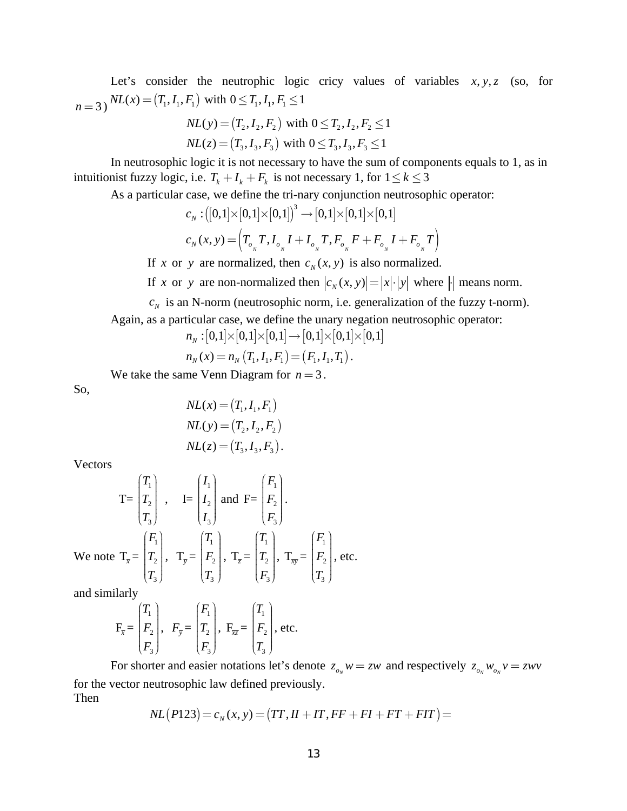Let's consider the neutrophic logic cricy values of variables  $x, y, z$  (so, for  $n=3$ )  $NL(x) = (T_1, I_1, F_1)$  with  $0 \le T_1, I_1, F_1 \le 1$ 

$$
NL(y) = (T_2, I_2, F_2) \text{ with } 0 \le T_2, I_2, F_2 \le 1
$$
  

$$
NL(z) = (T_3, I_3, F_3) \text{ with } 0 \le T_3, I_3, F_3 \le 1
$$

In neutrosophic logic it is not necessary to have the sum of components equals to 1, as in intuitionist fuzzy logic, i.e.  $T_k + I_k + F_k$  is not necessary 1, for  $1 \leq k \leq 3$ 

As a particular case, we define the tri-nary conjunction neutrosophic operator:

$$
\begin{aligned} &c_{_N}: \big([0,1]\times[0,1]\times[0,1]\big)^3\to[0,1]\times[0,1]\times[0,1] \\ &c_{_N}(x,y)= \Big(T_{_{\sigma_{_N}}}T, I_{_{\sigma_{_N}}}I+I_{_{\sigma_{_N}}}T, F_{_{\sigma_{_N}}}F+F_{_{\sigma_{_N}}}I+F_{_{\sigma_{_N}}}T\Big) \end{aligned}
$$

If *x* or *y* are normalized, then  $c<sub>N</sub>(x, y)$  is also normalized.

If *x* or *y* are non-normalized then  $|c_N(x, y)| = |x| \cdot |y|$  where  $\cdot$  means norm.

 $c_N$  is an N-norm (neutrosophic norm, i.e. generalization of the fuzzy t-norm).

Again, as a particular case, we define the unary negation neutrosophic operator:

$$
n_N: [0,1] \times [0,1] \times [0,1] \rightarrow [0,1] \times [0,1] \times [0,1]
$$

$$
n_N(x) = n_N(T_1, I_1, F_1) = (F_1, I_1, T_1).
$$

We take the same Venn Diagram for  $n = 3$ .

So,

$$
NL(x) = (T_1, I_1, F_1)
$$
  
\n
$$
NL(y) = (T_2, I_2, F_2)
$$
  
\n
$$
NL(z) = (T_3, I_3, F_3).
$$

Vectors

$$
T = \begin{pmatrix} T_1 \\ T_2 \\ T_3 \end{pmatrix}, \quad I = \begin{pmatrix} I_1 \\ I_2 \\ I_3 \end{pmatrix} \text{ and } F = \begin{pmatrix} F_1 \\ F_2 \\ F_3 \end{pmatrix}.
$$
  
We note  $T_{\overline{x}} = \begin{pmatrix} F_1 \\ T_2 \\ T_3 \end{pmatrix}, \quad T_{\overline{y}} = \begin{pmatrix} T_1 \\ F_2 \\ T_3 \end{pmatrix}, \quad T_{\overline{z}} = \begin{pmatrix} T_1 \\ T_2 \\ F_3 \end{pmatrix}, \quad T_{\overline{xy}} = \begin{pmatrix} F_1 \\ F_2 \\ T_3 \end{pmatrix}, \text{ etc.}$ 

and similarly

$$
\mathbf{F}_{\overline{x}} = \begin{pmatrix} T_1 \\ F_2 \\ F_3 \end{pmatrix}, \quad \mathbf{F}_{\overline{y}} = \begin{pmatrix} F_1 \\ T_2 \\ F_3 \end{pmatrix}, \quad \mathbf{F}_{\overline{x}\overline{z}} = \begin{pmatrix} T_1 \\ F_2 \\ T_3 \end{pmatrix}, \text{ etc.}
$$

For shorter and easier notations let's denote  $z_{o_N} w = zw$  and respectively  $z_{o_N} w_{o_N} v = zwv$ for the vector neutrosophic law defined previously. Then

$$
NL(P123) = c_N(x, y) = (TT, II + IT, FF + FI + FT + FIT) =
$$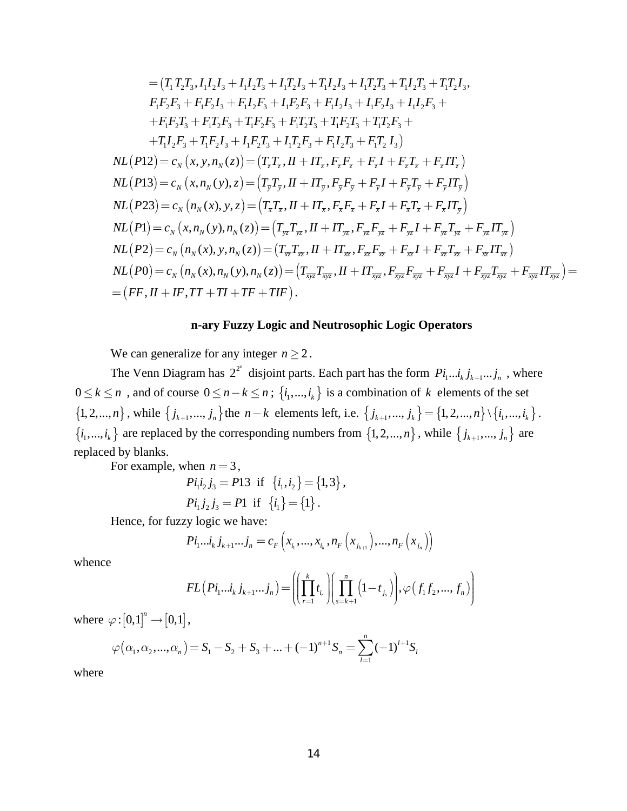$$
= (T_1 T_2 T_3, I_1 I_2 I_3 + I_1 I_2 T_3 + I_1 T_2 I_3 + I_1 I_2 I_3 + I_1 T_2 T_3 + I_1 I_2 T_3 + I_1 I_2 T_3 + I_1 I_2 I_3,
$$
  
\n
$$
F_1 F_2 F_3 + F_1 F_2 I_3 + F_1 I_2 F_3 + I_1 F_2 F_3 + F_1 I_2 I_3 + I_1 F_2 I_3 + I_1 I_2 F_3 +
$$
  
\n
$$
+ F_1 F_2 T_3 + F_1 T_2 F_3 + I_1 F_2 F_3 + F_1 T_2 T_3 + I_1 F_2 T_3 + I_1 T_2 F_3 +
$$
  
\n
$$
+ T_1 I_2 F_3 + I_1 F_2 I_3 + I_1 F_2 T_3 + I_1 T_2 F_3 + F_1 I_2 T_3 + F_1 T_2 I_3)
$$
  
\n
$$
NL(P12) = c_N (x, y, n_N(z)) = (T_z T_z, II + IT_z, F_z F_z + F_z I + F_z T_z + F_z IT_z)
$$
  
\n
$$
NL(P13) = c_N (x, n_N(y), z) = (T_y T_y, II + IT_y, F_y F_y + F_y I + F_y T_y + F_y II_y)
$$
  
\n
$$
NL(P23) = c_N (n_N(x), y, z) = (T_x T_x, II + IT_x, F_x F_x + F_x I + F_x T_x + F_x II_y)
$$
  
\n
$$
NL(P1) = c_N (x, n_N(y), n_N(z)) = (T_{yz} T_{yz}, II + IT_{zx}, F_{yz} F_{yz} + F_{yz} I + F_{yz} T_{yz} + F_{yz} II_{yz})
$$
  
\n
$$
NL(P2) = c_N (n_N(x), y, n_N(z)) = (T_{xz} T_{xz}, II + IT_{xz}, F_{xz} F_{xz} + F_x I + F_x T_x + F_x I_{xz})
$$
  
\n
$$
NL(P0) = c_N (n_N(x), n_N(y), n_N(z)) = (T_{xyz} T_{xyz}, II + IT_{xyz}, F_{xz} F_{xz} + F_{xz} I + F_{xz} T_{xz})
$$
  
\n
$$
NL(P0) = c_N (n_N(x), n_N(y), n_N(z)) = (T_{xyz} T_{xyz}, II + IT
$$

#### **n-ary Fuzzy Logic and Neutrosophic Logic Operators**

We can generalize for any integer  $n \geq 2$ .

The Venn Diagram has  $2^{2^n}$  disjoint parts. Each part has the form  $P_{i_1...i_k} j_{k+1}...j_n$ , where 0 ≤  $k$  ≤ *n*, and of course 0 ≤ *n* −  $k$  ≤ *n*; { $i_1$ ,...,  $i_k$ } is a combination of  $k$  elements of the set  $\{1, 2, ..., n\}$ , while  $\{j_{k+1}, ..., j_n\}$  the  $n-k$  elements left, i.e.  $\{j_{k+1}, ..., j_k\} = \{1, 2, ..., n\} \setminus \{i_1, ..., i_k\}$ .  $\{i_1, ..., i_k\}$  are replaced by the corresponding numbers from  $\{1, 2, ..., n\}$ , while  $\{j_{k+1}, ..., j_n\}$  are replaced by blanks.

For example, when  $n = 3$ ,

$$
Pi_1 i_2 j_3 = P13 \text{ if } \{i_1, i_2\} = \{1, 3\},
$$
  

$$
Pi_1 j_2 j_3 = P1 \text{ if } \{i_1\} = \{1\}.
$$

Hence, for fuzzy logic we have:

$$
Pi_{1}...i_{k}j_{k+1}...j_{n}=c_{F}\left(x_{i_{1}},...,x_{i_{k}},n_{F}\left(x_{j_{k+1}}\right),...,n_{F}\left(x_{j_{n}}\right)\right)
$$

whence

$$
FL\left(Pi_{1}...i_{k}j_{k+1}...j_{n}\right) = \left(\left(\prod_{r=1}^{k} t_{i_{r}}\right)\left(\prod_{s=k+1}^{n}\left(1-t_{j_{s}}\right)\right), \varphi\left(f_{1}f_{2},...,f_{n}\right)\right)
$$

where  $\varphi$  :  $[0,1]$ <sup>n</sup>  $\rightarrow$   $[0,1]$ ,

$$
\varphi(\alpha_1, \alpha_2, ..., \alpha_n) = S_1 - S_2 + S_3 + ... + (-1)^{n+1} S_n = \sum_{l=1}^n (-1)^{l+1} S_l
$$

where